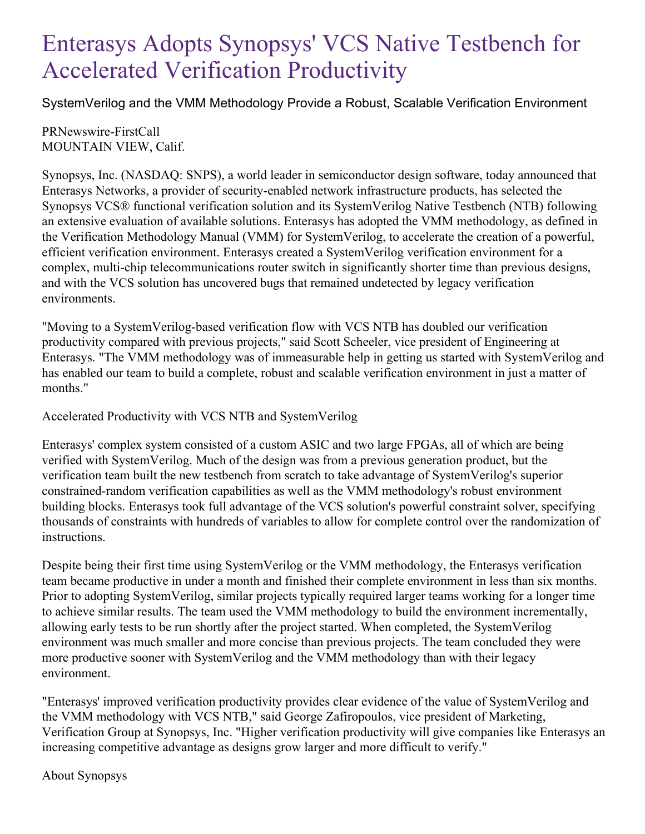## Enterasys Adopts Synopsys' VCS Native Testbench for Accelerated Verification Productivity

SystemVerilog and the VMM Methodology Provide a Robust, Scalable Verification Environment

PRNewswire-FirstCall MOUNTAIN VIEW, Calif.

Synopsys, Inc. (NASDAQ: SNPS), a world leader in semiconductor design software, today announced that Enterasys Networks, a provider of security-enabled network infrastructure products, has selected the Synopsys VCS® functional verification solution and its SystemVerilog Native Testbench (NTB) following an extensive evaluation of available solutions. Enterasys has adopted the VMM methodology, as defined in the Verification Methodology Manual (VMM) for SystemVerilog, to accelerate the creation of a powerful, efficient verification environment. Enterasys created a SystemVerilog verification environment for a complex, multi-chip telecommunications router switch in significantly shorter time than previous designs, and with the VCS solution has uncovered bugs that remained undetected by legacy verification environments.

"Moving to a SystemVerilog-based verification flow with VCS NTB has doubled our verification productivity compared with previous projects," said Scott Scheeler, vice president of Engineering at Enterasys. "The VMM methodology was of immeasurable help in getting us started with SystemVerilog and has enabled our team to build a complete, robust and scalable verification environment in just a matter of months."

Accelerated Productivity with VCS NTB and SystemVerilog

Enterasys' complex system consisted of a custom ASIC and two large FPGAs, all of which are being verified with SystemVerilog. Much of the design was from a previous generation product, but the verification team built the new testbench from scratch to take advantage of SystemVerilog's superior constrained-random verification capabilities as well as the VMM methodology's robust environment building blocks. Enterasys took full advantage of the VCS solution's powerful constraint solver, specifying thousands of constraints with hundreds of variables to allow for complete control over the randomization of instructions.

Despite being their first time using SystemVerilog or the VMM methodology, the Enterasys verification team became productive in under a month and finished their complete environment in less than six months. Prior to adopting SystemVerilog, similar projects typically required larger teams working for a longer time to achieve similar results. The team used the VMM methodology to build the environment incrementally, allowing early tests to be run shortly after the project started. When completed, the SystemVerilog environment was much smaller and more concise than previous projects. The team concluded they were more productive sooner with SystemVerilog and the VMM methodology than with their legacy environment.

"Enterasys' improved verification productivity provides clear evidence of the value of SystemVerilog and the VMM methodology with VCS NTB," said George Zafiropoulos, vice president of Marketing, Verification Group at Synopsys, Inc. "Higher verification productivity will give companies like Enterasys an increasing competitive advantage as designs grow larger and more difficult to verify."

About Synopsys